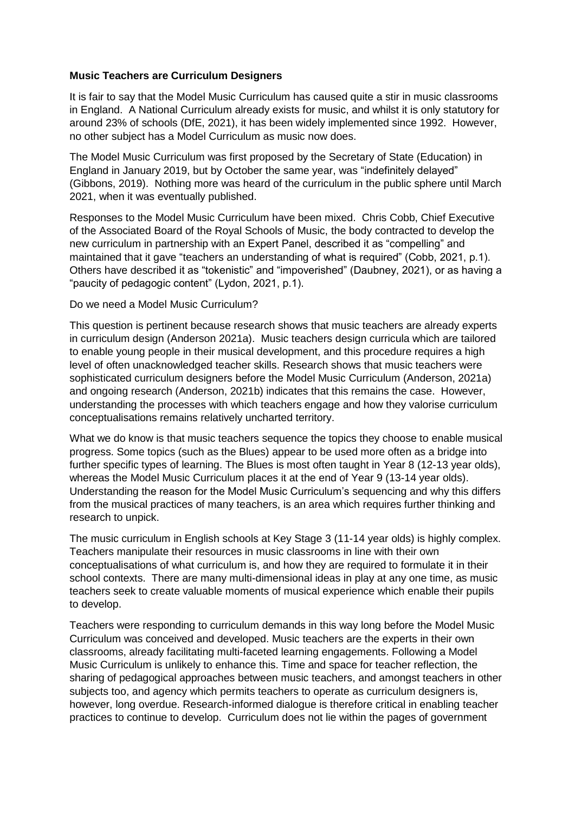## **Music Teachers are Curriculum Designers**

It is fair to say that the Model Music Curriculum has caused quite a stir in music classrooms in England. A National Curriculum already exists for music, and whilst it is only statutory for around 23% of schools (DfE, 2021), it has been widely implemented since 1992. However, no other subject has a Model Curriculum as music now does.

The Model Music Curriculum was first proposed by the Secretary of State (Education) in England in January 2019, but by October the same year, was "indefinitely delayed" (Gibbons, 2019). Nothing more was heard of the curriculum in the public sphere until March 2021, when it was eventually published.

Responses to the Model Music Curriculum have been mixed. Chris Cobb, Chief Executive of the Associated Board of the Royal Schools of Music, the body contracted to develop the new curriculum in partnership with an Expert Panel, described it as "compelling" and maintained that it gave "teachers an understanding of what is required" (Cobb, 2021, p.1). Others have described it as "tokenistic" and "impoverished" (Daubney, 2021), or as having a "paucity of pedagogic content" (Lydon, 2021, p.1).

## Do we need a Model Music Curriculum?

This question is pertinent because research shows that music teachers are already experts in curriculum design (Anderson 2021a). Music teachers design curricula which are tailored to enable young people in their musical development, and this procedure requires a high level of often unacknowledged teacher skills. Research shows that music teachers were sophisticated curriculum designers before the Model Music Curriculum (Anderson, 2021a) and ongoing research (Anderson, 2021b) indicates that this remains the case. However, understanding the processes with which teachers engage and how they valorise curriculum conceptualisations remains relatively uncharted territory.

What we do know is that music teachers sequence the topics they choose to enable musical progress. Some topics (such as the Blues) appear to be used more often as a bridge into further specific types of learning. The Blues is most often taught in Year 8 (12-13 year olds), whereas the Model Music Curriculum places it at the end of Year 9 (13-14 year olds). Understanding the reason for the Model Music Curriculum's sequencing and why this differs from the musical practices of many teachers, is an area which requires further thinking and research to unpick.

The music curriculum in English schools at Key Stage 3 (11-14 year olds) is highly complex. Teachers manipulate their resources in music classrooms in line with their own conceptualisations of what curriculum is, and how they are required to formulate it in their school contexts. There are many multi-dimensional ideas in play at any one time, as music teachers seek to create valuable moments of musical experience which enable their pupils to develop.

Teachers were responding to curriculum demands in this way long before the Model Music Curriculum was conceived and developed. Music teachers are the experts in their own classrooms, already facilitating multi-faceted learning engagements. Following a Model Music Curriculum is unlikely to enhance this. Time and space for teacher reflection, the sharing of pedagogical approaches between music teachers, and amongst teachers in other subjects too, and agency which permits teachers to operate as curriculum designers is, however, long overdue. Research-informed dialogue is therefore critical in enabling teacher practices to continue to develop. Curriculum does not lie within the pages of government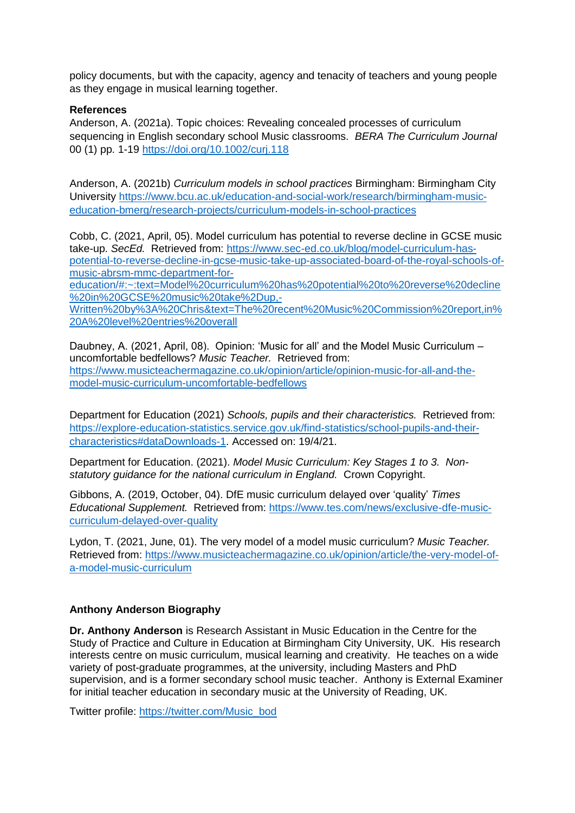policy documents, but with the capacity, agency and tenacity of teachers and young people as they engage in musical learning together.

## **References**

Anderson, A. (2021a). Topic choices: Revealing concealed processes of curriculum sequencing in English secondary school Music classrooms. *BERA The Curriculum Journal*  00 (1) pp. 1-19<https://doi.org/10.1002/curj.118>

Anderson, A. (2021b) *Curriculum models in school practices* Birmingham: Birmingham City University [https://www.bcu.ac.uk/education-and-social-work/research/birmingham-music](https://www.bcu.ac.uk/education-and-social-work/research/birmingham-music-education-bmerg/research-projects/curriculum-models-in-school-practices)[education-bmerg/research-projects/curriculum-models-in-school-practices](https://www.bcu.ac.uk/education-and-social-work/research/birmingham-music-education-bmerg/research-projects/curriculum-models-in-school-practices)

Cobb, C. (2021, April, 05). Model curriculum has potential to reverse decline in GCSE music take-up. *SecEd.* Retrieved from: [https://www.sec-ed.co.uk/blog/model-curriculum-has](https://www.sec-ed.co.uk/blog/model-curriculum-has-potential-to-reverse-decline-in-gcse-music-take-up-associated-board-of-the-royal-schools-of-music-abrsm-mmc-department-for-education/#:~:text=Model%20curriculum%20has%20potential%20to%20reverse%20decline%20in%20GCSE%20music%20take%2Dup,-Written%20by%3A%20Chris&text=The%20recent%20Music%20Commission%20report,in%20A%20level%20entries%20overall)[potential-to-reverse-decline-in-gcse-music-take-up-associated-board-of-the-royal-schools-of](https://www.sec-ed.co.uk/blog/model-curriculum-has-potential-to-reverse-decline-in-gcse-music-take-up-associated-board-of-the-royal-schools-of-music-abrsm-mmc-department-for-education/#:~:text=Model%20curriculum%20has%20potential%20to%20reverse%20decline%20in%20GCSE%20music%20take%2Dup,-Written%20by%3A%20Chris&text=The%20recent%20Music%20Commission%20report,in%20A%20level%20entries%20overall)[music-abrsm-mmc-department-for-](https://www.sec-ed.co.uk/blog/model-curriculum-has-potential-to-reverse-decline-in-gcse-music-take-up-associated-board-of-the-royal-schools-of-music-abrsm-mmc-department-for-education/#:~:text=Model%20curriculum%20has%20potential%20to%20reverse%20decline%20in%20GCSE%20music%20take%2Dup,-Written%20by%3A%20Chris&text=The%20recent%20Music%20Commission%20report,in%20A%20level%20entries%20overall)

[education/#:~:text=Model%20curriculum%20has%20potential%20to%20reverse%20decline](https://www.sec-ed.co.uk/blog/model-curriculum-has-potential-to-reverse-decline-in-gcse-music-take-up-associated-board-of-the-royal-schools-of-music-abrsm-mmc-department-for-education/#:~:text=Model%20curriculum%20has%20potential%20to%20reverse%20decline%20in%20GCSE%20music%20take%2Dup,-Written%20by%3A%20Chris&text=The%20recent%20Music%20Commission%20report,in%20A%20level%20entries%20overall) [%20in%20GCSE%20music%20take%2Dup,-](https://www.sec-ed.co.uk/blog/model-curriculum-has-potential-to-reverse-decline-in-gcse-music-take-up-associated-board-of-the-royal-schools-of-music-abrsm-mmc-department-for-education/#:~:text=Model%20curriculum%20has%20potential%20to%20reverse%20decline%20in%20GCSE%20music%20take%2Dup,-Written%20by%3A%20Chris&text=The%20recent%20Music%20Commission%20report,in%20A%20level%20entries%20overall)

[Written%20by%3A%20Chris&text=The%20recent%20Music%20Commission%20report,in%](https://www.sec-ed.co.uk/blog/model-curriculum-has-potential-to-reverse-decline-in-gcse-music-take-up-associated-board-of-the-royal-schools-of-music-abrsm-mmc-department-for-education/#:~:text=Model%20curriculum%20has%20potential%20to%20reverse%20decline%20in%20GCSE%20music%20take%2Dup,-Written%20by%3A%20Chris&text=The%20recent%20Music%20Commission%20report,in%20A%20level%20entries%20overall) [20A%20level%20entries%20overall](https://www.sec-ed.co.uk/blog/model-curriculum-has-potential-to-reverse-decline-in-gcse-music-take-up-associated-board-of-the-royal-schools-of-music-abrsm-mmc-department-for-education/#:~:text=Model%20curriculum%20has%20potential%20to%20reverse%20decline%20in%20GCSE%20music%20take%2Dup,-Written%20by%3A%20Chris&text=The%20recent%20Music%20Commission%20report,in%20A%20level%20entries%20overall)

Daubney, A. (2021, April, 08). Opinion: 'Music for all' and the Model Music Curriculum – uncomfortable bedfellows? *Music Teacher.* Retrieved from: [https://www.musicteachermagazine.co.uk/opinion/article/opinion-music-for-all-and-the](https://www.musicteachermagazine.co.uk/opinion/article/opinion-music-for-all-and-the-model-music-curriculum-uncomfortable-bedfellows)[model-music-curriculum-uncomfortable-bedfellows](https://www.musicteachermagazine.co.uk/opinion/article/opinion-music-for-all-and-the-model-music-curriculum-uncomfortable-bedfellows)

Department for Education (2021) *Schools, pupils and their characteristics.* Retrieved from: [https://explore-education-statistics.service.gov.uk/find-statistics/school-pupils-and-their](https://explore-education-statistics.service.gov.uk/find-statistics/school-pupils-and-their-characteristics#dataDownloads-1)[characteristics#dataDownloads-1.](https://explore-education-statistics.service.gov.uk/find-statistics/school-pupils-and-their-characteristics#dataDownloads-1) Accessed on: 19/4/21.

Department for Education. (2021). *Model Music Curriculum: Key Stages 1 to 3. Nonstatutory guidance for the national curriculum in England.* Crown Copyright.

Gibbons, A. (2019, October, 04). DfE music curriculum delayed over 'quality' *Times Educational Supplement.* Retrieved from: [https://www.tes.com/news/exclusive-dfe-music](https://www.tes.com/news/exclusive-dfe-music-curriculum-delayed-over-quality)[curriculum-delayed-over-quality](https://www.tes.com/news/exclusive-dfe-music-curriculum-delayed-over-quality)

Lydon, T. (2021, June, 01). The very model of a model music curriculum? *Music Teacher.*  Retrieved from: [https://www.musicteachermagazine.co.uk/opinion/article/the-very-model-of](https://www.musicteachermagazine.co.uk/opinion/article/the-very-model-of-a-model-music-curriculum)[a-model-music-curriculum](https://www.musicteachermagazine.co.uk/opinion/article/the-very-model-of-a-model-music-curriculum)

## **Anthony Anderson Biography**

**Dr. Anthony Anderson** is Research Assistant in Music Education in the Centre for the Study of Practice and Culture in Education at Birmingham City University, UK. His research interests centre on music curriculum, musical learning and creativity. He teaches on a wide variety of post-graduate programmes, at the university, including Masters and PhD supervision, and is a former secondary school music teacher. Anthony is External Examiner for initial teacher education in secondary music at the University of Reading, UK.

Twitter profile: [https://twitter.com/Music\\_bod](https://twitter.com/Music_bod)